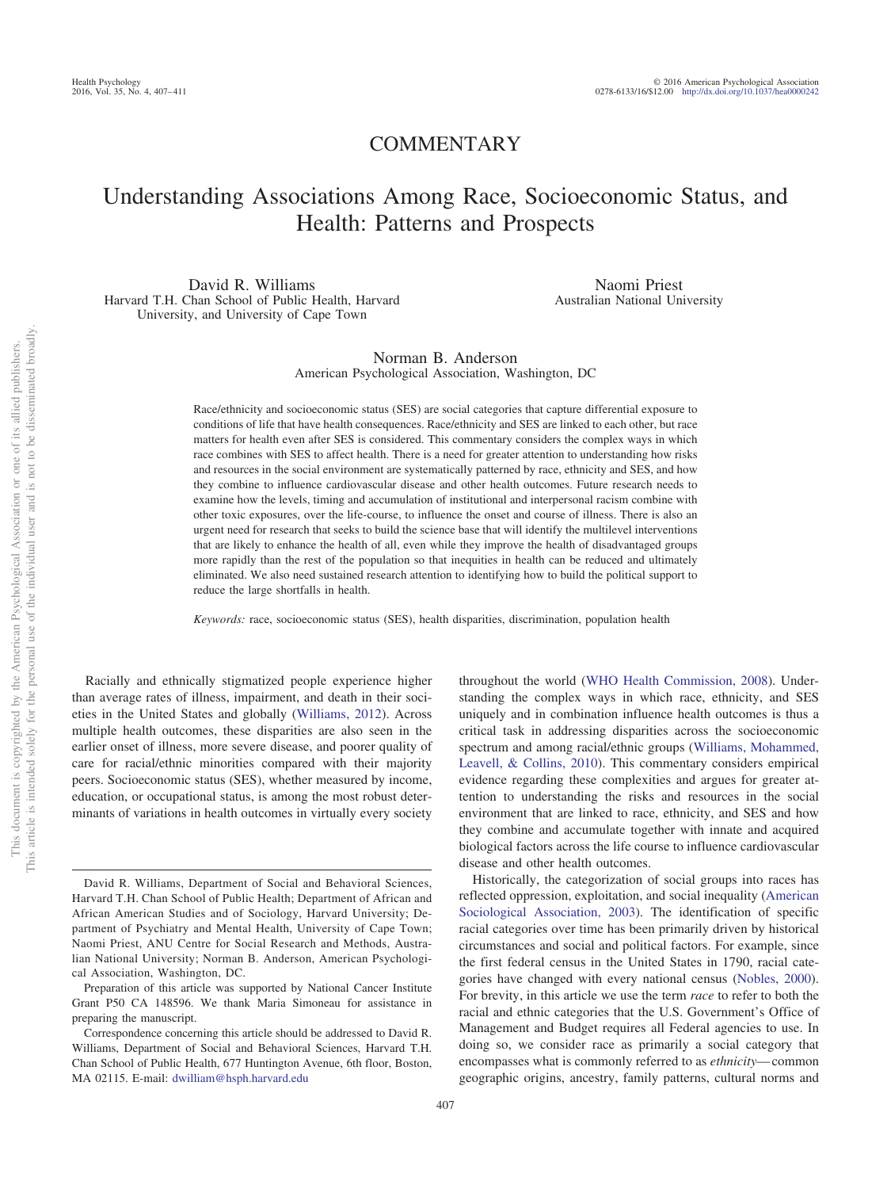## COMMENTARY

## Understanding Associations Among Race, Socioeconomic Status, and Health: Patterns and Prospects

David R. Williams Harvard T.H. Chan School of Public Health, Harvard University, and University of Cape Town

Naomi Priest Australian National University

Norman B. Anderson American Psychological Association, Washington, DC

Race/ethnicity and socioeconomic status (SES) are social categories that capture differential exposure to conditions of life that have health consequences. Race/ethnicity and SES are linked to each other, but race matters for health even after SES is considered. This commentary considers the complex ways in which race combines with SES to affect health. There is a need for greater attention to understanding how risks and resources in the social environment are systematically patterned by race, ethnicity and SES, and how they combine to influence cardiovascular disease and other health outcomes. Future research needs to examine how the levels, timing and accumulation of institutional and interpersonal racism combine with other toxic exposures, over the life-course, to influence the onset and course of illness. There is also an urgent need for research that seeks to build the science base that will identify the multilevel interventions that are likely to enhance the health of all, even while they improve the health of disadvantaged groups more rapidly than the rest of the population so that inequities in health can be reduced and ultimately eliminated. We also need sustained research attention to identifying how to build the political support to reduce the large shortfalls in health.

*Keywords:* race, socioeconomic status (SES), health disparities, discrimination, population health

Racially and ethnically stigmatized people experience higher than average rates of illness, impairment, and death in their societies in the United States and globally [\(Williams, 2012\)](#page-4-0). Across multiple health outcomes, these disparities are also seen in the earlier onset of illness, more severe disease, and poorer quality of care for racial/ethnic minorities compared with their majority peers. Socioeconomic status (SES), whether measured by income, education, or occupational status, is among the most robust determinants of variations in health outcomes in virtually every society

throughout the world [\(WHO Health Commission, 2008\)](#page-4-1). Understanding the complex ways in which race, ethnicity, and SES uniquely and in combination influence health outcomes is thus a critical task in addressing disparities across the socioeconomic spectrum and among racial/ethnic groups [\(Williams, Mohammed,](#page-4-2) [Leavell, & Collins, 2010\)](#page-4-2). This commentary considers empirical evidence regarding these complexities and argues for greater attention to understanding the risks and resources in the social environment that are linked to race, ethnicity, and SES and how they combine and accumulate together with innate and acquired biological factors across the life course to influence cardiovascular disease and other health outcomes.

Historically, the categorization of social groups into races has reflected oppression, exploitation, and social inequality [\(American](#page-3-0) [Sociological Association, 2003\)](#page-3-0). The identification of specific racial categories over time has been primarily driven by historical circumstances and social and political factors. For example, since the first federal census in the United States in 1790, racial categories have changed with every national census [\(Nobles, 2000\)](#page-4-3). For brevity, in this article we use the term *race* to refer to both the racial and ethnic categories that the U.S. Government's Office of Management and Budget requires all Federal agencies to use. In doing so, we consider race as primarily a social category that encompasses what is commonly referred to as *ethnicity*— common geographic origins, ancestry, family patterns, cultural norms and

David R. Williams, Department of Social and Behavioral Sciences, Harvard T.H. Chan School of Public Health; Department of African and African American Studies and of Sociology, Harvard University; Department of Psychiatry and Mental Health, University of Cape Town; Naomi Priest, ANU Centre for Social Research and Methods, Australian National University; Norman B. Anderson, American Psychological Association, Washington, DC.

Preparation of this article was supported by National Cancer Institute Grant P50 CA 148596. We thank Maria Simoneau for assistance in preparing the manuscript.

Correspondence concerning this article should be addressed to David R. Williams, Department of Social and Behavioral Sciences, Harvard T.H. Chan School of Public Health, 677 Huntington Avenue, 6th floor, Boston, MA 02115. E-mail: [dwilliam@hsph.harvard.edu](mailto:dwilliam@hsph.harvard.edu)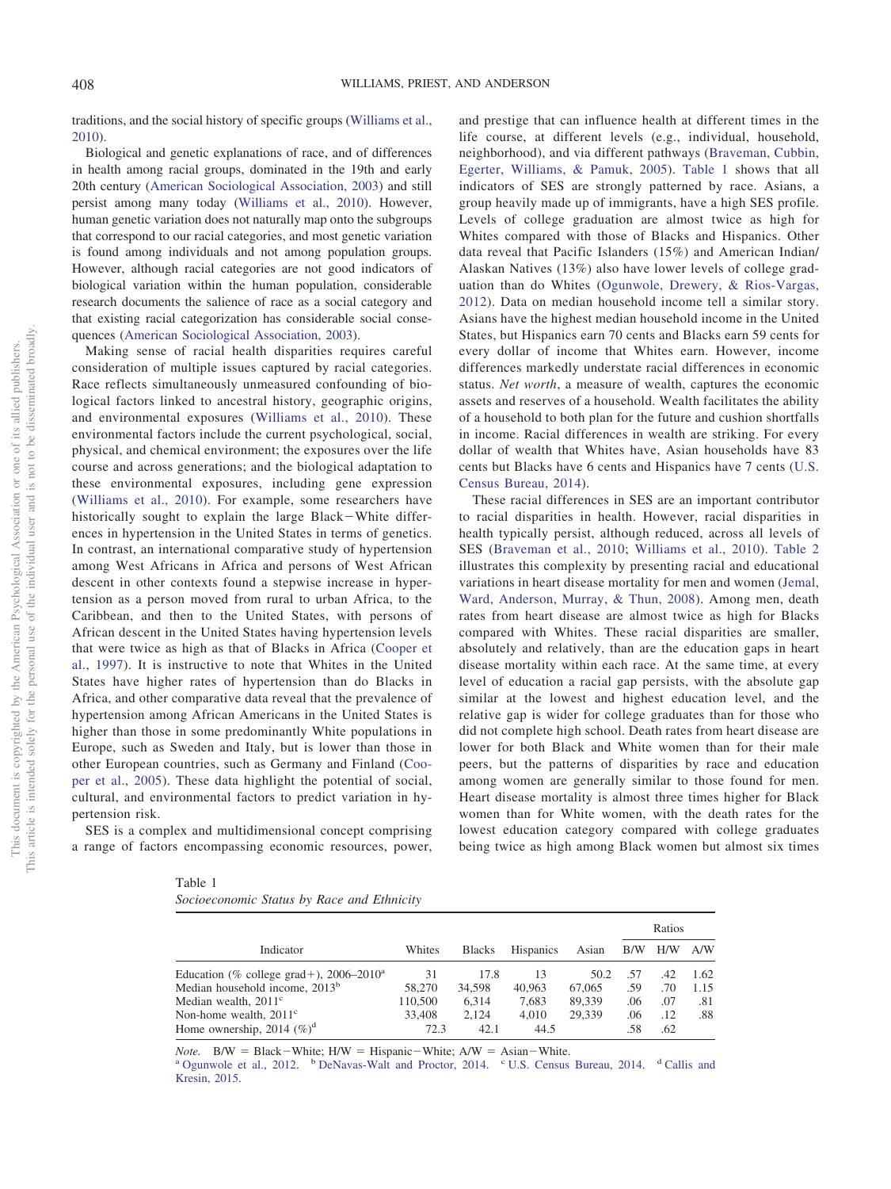traditions, and the social history of specific groups [\(Williams et al.,](#page-4-2) [2010\)](#page-4-2).

Biological and genetic explanations of race, and of differences in health among racial groups, dominated in the 19th and early 20th century [\(American Sociological Association, 2003\)](#page-3-0) and still persist among many today [\(Williams et al., 2010\)](#page-4-2). However, human genetic variation does not naturally map onto the subgroups that correspond to our racial categories, and most genetic variation is found among individuals and not among population groups. However, although racial categories are not good indicators of biological variation within the human population, considerable research documents the salience of race as a social category and that existing racial categorization has considerable social consequences [\(American Sociological Association, 2003\)](#page-3-0).

Making sense of racial health disparities requires careful consideration of multiple issues captured by racial categories. Race reflects simultaneously unmeasured confounding of biological factors linked to ancestral history, geographic origins, and environmental exposures [\(Williams et al., 2010\)](#page-4-2). These environmental factors include the current psychological, social, physical, and chemical environment; the exposures over the life course and across generations; and the biological adaptation to these environmental exposures, including gene expression [\(Williams et al., 2010\)](#page-4-2). For example, some researchers have historically sought to explain the large Black-White differences in hypertension in the United States in terms of genetics. In contrast, an international comparative study of hypertension among West Africans in Africa and persons of West African descent in other contexts found a stepwise increase in hypertension as a person moved from rural to urban Africa, to the Caribbean, and then to the United States, with persons of African descent in the United States having hypertension levels that were twice as high as that of Blacks in Africa [\(Cooper et](#page-3-1) [al., 1997\)](#page-3-1). It is instructive to note that Whites in the United States have higher rates of hypertension than do Blacks in Africa, and other comparative data reveal that the prevalence of hypertension among African Americans in the United States is higher than those in some predominantly White populations in Europe, such as Sweden and Italy, but is lower than those in other European countries, such as Germany and Finland [\(Coo](#page-3-2)[per et al., 2005\)](#page-3-2). These data highlight the potential of social, cultural, and environmental factors to predict variation in hypertension risk.

SES is a complex and multidimensional concept comprising a range of factors encompassing economic resources, power, and prestige that can influence health at different times in the life course, at different levels (e.g., individual, household, neighborhood), and via different pathways [\(Braveman, Cubbin,](#page-3-3) [Egerter, Williams, & Pamuk, 2005\)](#page-3-3). [Table 1](#page-1-0) shows that all indicators of SES are strongly patterned by race. Asians, a group heavily made up of immigrants, have a high SES profile. Levels of college graduation are almost twice as high for Whites compared with those of Blacks and Hispanics. Other data reveal that Pacific Islanders (15%) and American Indian/ Alaskan Natives (13%) also have lower levels of college graduation than do Whites [\(Ogunwole, Drewery, & Rios-Vargas,](#page-4-4) [2012\)](#page-4-4). Data on median household income tell a similar story. Asians have the highest median household income in the United States, but Hispanics earn 70 cents and Blacks earn 59 cents for every dollar of income that Whites earn. However, income differences markedly understate racial differences in economic status. *Net worth*, a measure of wealth, captures the economic assets and reserves of a household. Wealth facilitates the ability of a household to both plan for the future and cushion shortfalls in income. Racial differences in wealth are striking. For every dollar of wealth that Whites have, Asian households have 83 cents but Blacks have 6 cents and Hispanics have 7 cents [\(U.S.](#page-4-5) [Census Bureau, 2014\)](#page-4-5).

These racial differences in SES are an important contributor to racial disparities in health. However, racial disparities in health typically persist, although reduced, across all levels of SES [\(Braveman et al., 2010;](#page-3-4) [Williams et al., 2010\)](#page-4-2). [Table 2](#page-2-0) illustrates this complexity by presenting racial and educational variations in heart disease mortality for men and women [\(Jemal,](#page-3-5) [Ward, Anderson, Murray, & Thun, 2008\)](#page-3-5). Among men, death rates from heart disease are almost twice as high for Blacks compared with Whites. These racial disparities are smaller, absolutely and relatively, than are the education gaps in heart disease mortality within each race. At the same time, at every level of education a racial gap persists, with the absolute gap similar at the lowest and highest education level, and the relative gap is wider for college graduates than for those who did not complete high school. Death rates from heart disease are lower for both Black and White women than for their male peers, but the patterns of disparities by race and education among women are generally similar to those found for men. Heart disease mortality is almost three times higher for Black women than for White women, with the death rates for the lowest education category compared with college graduates being twice as high among Black women but almost six times

<span id="page-1-0"></span>

| Table 1                                    |  |  |  |
|--------------------------------------------|--|--|--|
| Socioeconomic Status by Race and Ethnicity |  |  |  |

|                                            |         |               |                  |        | Ratios |     |      |
|--------------------------------------------|---------|---------------|------------------|--------|--------|-----|------|
| Indicator                                  | Whites  | <b>Blacks</b> | <b>Hispanics</b> | Asian  | B/W    | H/W | A/W  |
| Education (% college grad+), $2006-2010^a$ | 31      | 17.8          | 13               | 50.2   | .57    | .42 | 1.62 |
| Median household income, 2013 <sup>b</sup> | 58,270  | 34.598        | 40,963           | 67,065 | .59    | .70 | 1.15 |
| Median wealth, $2011^{\circ}$              | 110,500 | 6.314         | 7.683            | 89.339 | .06    | .07 | .81  |
| Non-home wealth, $2011^{\circ}$            | 33,408  | 2.124         | 4.010            | 29.339 | .06    | .12 | .88  |
| Home ownership, 2014 $(\%)^d$              | 72.3    | 42.1          | 44.5             |        | .58    | .62 |      |

*Note.*  $B/W = Black-White$ ;  $H/W = Hispanic-White$ ;  $A/W = Asian-$ 

<sup>a</sup> [Ogunwole et al., 2012.](#page-4-4) <sup>b</sup> [DeNavas-Walt and Proctor, 2014.](#page-3-6) <sup>c</sup> [U.S. Census Bureau, 2014.](#page-4-5) <sup>d</sup> [Callis and](#page-3-7) [Kresin, 2015.](#page-3-7)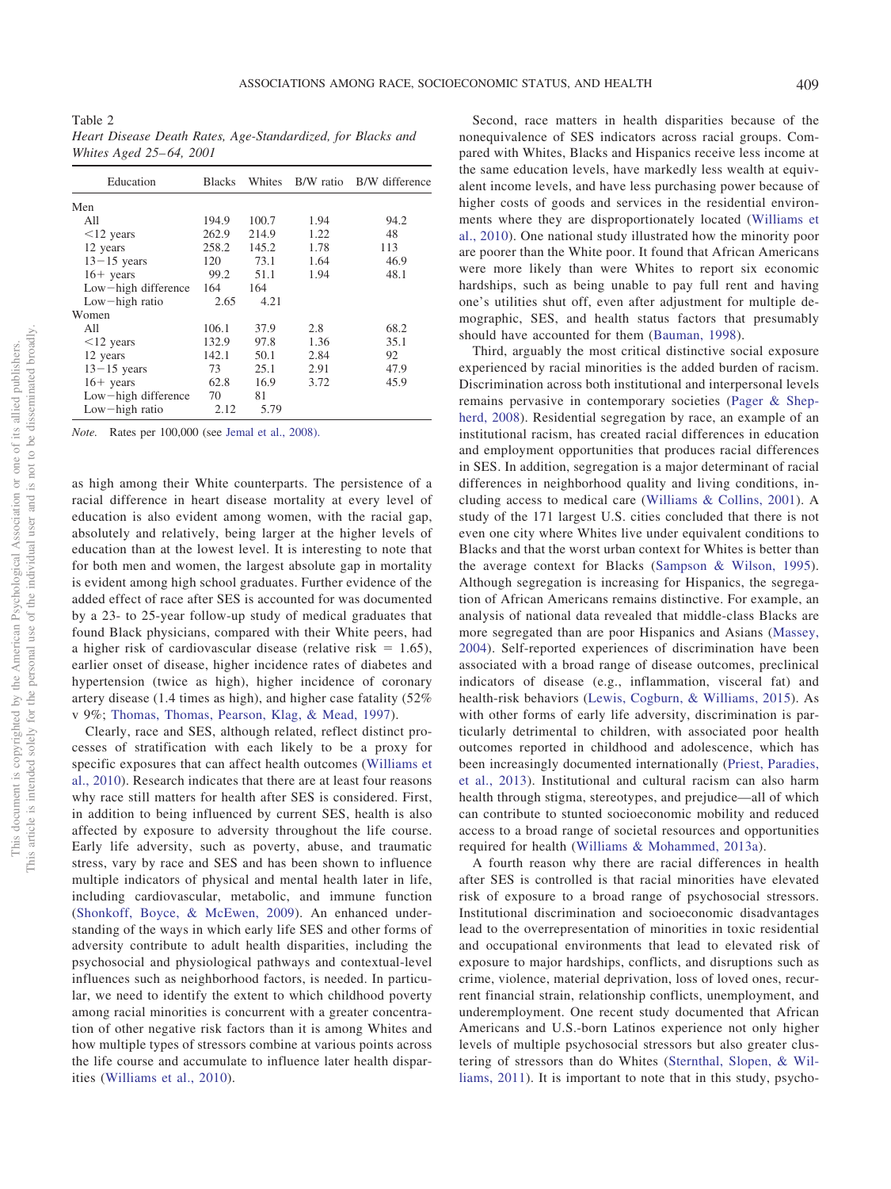<span id="page-2-0"></span>Table 2 *Heart Disease Death Rates, Age-Standardized, for Blacks and Whites Aged 25– 64, 2001*

| Education           | <b>Blacks</b> | Whites | B/W ratio | B/W difference |
|---------------------|---------------|--------|-----------|----------------|
| Men                 |               |        |           |                |
| A11                 | 194.9         | 100.7  | 1.94      | 94.2           |
| $<$ 12 years        | 262.9         | 214.9  | 1.22      | 48             |
| 12 years            | 258.2         | 145.2  | 1.78      | 113            |
| $13 - 15$ years     | 120           | 73.1   | 1.64      | 46.9           |
| $16+$ years         | 99.2          | 51.1   | 1.94      | 48.1           |
| Low-high difference | 164           | 164    |           |                |
| Low-high ratio      | 2.65          | 4.21   |           |                |
| Women               |               |        |           |                |
| A11                 | 106.1         | 37.9   | 2.8       | 68.2           |
| $<$ 12 years        | 132.9         | 97.8   | 1.36      | 35.1           |
| 12 years            | 142.1         | 50.1   | 2.84      | 92             |
| $13 - 15$ years     | 73            | 25.1   | 2.91      | 47.9           |
| $16+$ years         | 62.8          | 16.9   | 3.72      | 45.9           |
| Low-high difference | 70            | 81     |           |                |
| $Low$ -high ratio   | 2.12          | 5.79   |           |                |

*Note.* Rates per 100,000 (see [Jemal et al., 2008\).](#page-3-5)

as high among their White counterparts. The persistence of a racial difference in heart disease mortality at every level of education is also evident among women, with the racial gap, absolutely and relatively, being larger at the higher levels of education than at the lowest level. It is interesting to note that for both men and women, the largest absolute gap in mortality is evident among high school graduates. Further evidence of the added effect of race after SES is accounted for was documented by a 23- to 25-year follow-up study of medical graduates that found Black physicians, compared with their White peers, had a higher risk of cardiovascular disease (relative risk  $= 1.65$ ), earlier onset of disease, higher incidence rates of diabetes and hypertension (twice as high), higher incidence of coronary artery disease (1.4 times as high), and higher case fatality (52% v 9%; [Thomas, Thomas, Pearson, Klag, & Mead, 1997\)](#page-4-6).

Clearly, race and SES, although related, reflect distinct processes of stratification with each likely to be a proxy for specific exposures that can affect health outcomes [\(Williams et](#page-4-2) [al., 2010\)](#page-4-2). Research indicates that there are at least four reasons why race still matters for health after SES is considered. First, in addition to being influenced by current SES, health is also affected by exposure to adversity throughout the life course. Early life adversity, such as poverty, abuse, and traumatic stress, vary by race and SES and has been shown to influence multiple indicators of physical and mental health later in life, including cardiovascular, metabolic, and immune function [\(Shonkoff, Boyce, & McEwen, 2009\)](#page-4-7). An enhanced understanding of the ways in which early life SES and other forms of adversity contribute to adult health disparities, including the psychosocial and physiological pathways and contextual-level influences such as neighborhood factors, is needed. In particular, we need to identify the extent to which childhood poverty among racial minorities is concurrent with a greater concentration of other negative risk factors than it is among Whites and how multiple types of stressors combine at various points across the life course and accumulate to influence later health disparities [\(Williams et al., 2010\)](#page-4-2).

Second, race matters in health disparities because of the nonequivalence of SES indicators across racial groups. Compared with Whites, Blacks and Hispanics receive less income at the same education levels, have markedly less wealth at equivalent income levels, and have less purchasing power because of higher costs of goods and services in the residential environments where they are disproportionately located [\(Williams et](#page-4-2) [al., 2010\)](#page-4-2). One national study illustrated how the minority poor are poorer than the White poor. It found that African Americans were more likely than were Whites to report six economic hardships, such as being unable to pay full rent and having one's utilities shut off, even after adjustment for multiple demographic, SES, and health status factors that presumably should have accounted for them [\(Bauman, 1998\)](#page-3-8).

Third, arguably the most critical distinctive social exposure experienced by racial minorities is the added burden of racism. Discrimination across both institutional and interpersonal levels remains pervasive in contemporary societies [\(Pager & Shep](#page-4-8)[herd, 2008\)](#page-4-8). Residential segregation by race, an example of an institutional racism, has created racial differences in education and employment opportunities that produces racial differences in SES. In addition, segregation is a major determinant of racial differences in neighborhood quality and living conditions, including access to medical care [\(Williams & Collins, 2001\)](#page-4-9). A study of the 171 largest U.S. cities concluded that there is not even one city where Whites live under equivalent conditions to Blacks and that the worst urban context for Whites is better than the average context for Blacks [\(Sampson & Wilson, 1995\)](#page-4-10). Although segregation is increasing for Hispanics, the segregation of African Americans remains distinctive. For example, an analysis of national data revealed that middle-class Blacks are more segregated than are poor Hispanics and Asians [\(Massey,](#page-3-9) [2004\)](#page-3-9). Self-reported experiences of discrimination have been associated with a broad range of disease outcomes, preclinical indicators of disease (e.g., inflammation, visceral fat) and health-risk behaviors [\(Lewis, Cogburn, & Williams, 2015\)](#page-3-10). As with other forms of early life adversity, discrimination is particularly detrimental to children, with associated poor health outcomes reported in childhood and adolescence, which has been increasingly documented internationally [\(Priest, Paradies,](#page-4-11) [et al., 2013\)](#page-4-11). Institutional and cultural racism can also harm health through stigma, stereotypes, and prejudice—all of which can contribute to stunted socioeconomic mobility and reduced access to a broad range of societal resources and opportunities required for health [\(Williams & Mohammed, 2013a\)](#page-4-12).

A fourth reason why there are racial differences in health after SES is controlled is that racial minorities have elevated risk of exposure to a broad range of psychosocial stressors. Institutional discrimination and socioeconomic disadvantages lead to the overrepresentation of minorities in toxic residential and occupational environments that lead to elevated risk of exposure to major hardships, conflicts, and disruptions such as crime, violence, material deprivation, loss of loved ones, recurrent financial strain, relationship conflicts, unemployment, and underemployment. One recent study documented that African Americans and U.S.-born Latinos experience not only higher levels of multiple psychosocial stressors but also greater clustering of stressors than do Whites [\(Sternthal, Slopen, & Wil](#page-4-13)[liams, 2011\)](#page-4-13). It is important to note that in this study, psycho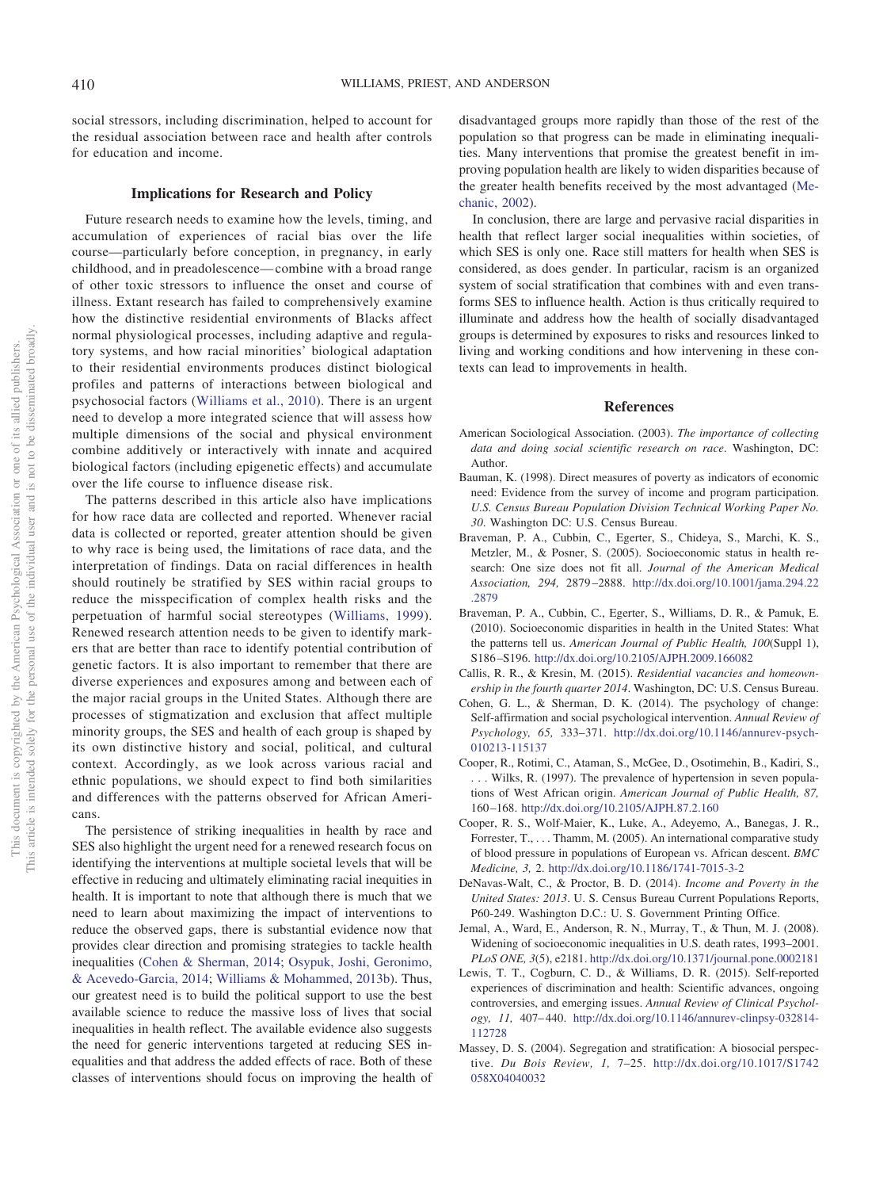social stressors, including discrimination, helped to account for the residual association between race and health after controls for education and income.

## **Implications for Research and Policy**

Future research needs to examine how the levels, timing, and accumulation of experiences of racial bias over the life course—particularly before conception, in pregnancy, in early childhood, and in preadolescence— combine with a broad range of other toxic stressors to influence the onset and course of illness. Extant research has failed to comprehensively examine how the distinctive residential environments of Blacks affect normal physiological processes, including adaptive and regulatory systems, and how racial minorities' biological adaptation to their residential environments produces distinct biological profiles and patterns of interactions between biological and psychosocial factors [\(Williams et al., 2010\)](#page-4-2). There is an urgent need to develop a more integrated science that will assess how multiple dimensions of the social and physical environment combine additively or interactively with innate and acquired biological factors (including epigenetic effects) and accumulate over the life course to influence disease risk.

The patterns described in this article also have implications for how race data are collected and reported. Whenever racial data is collected or reported, greater attention should be given to why race is being used, the limitations of race data, and the interpretation of findings. Data on racial differences in health should routinely be stratified by SES within racial groups to reduce the misspecification of complex health risks and the perpetuation of harmful social stereotypes [\(Williams, 1999\)](#page-4-14). Renewed research attention needs to be given to identify markers that are better than race to identify potential contribution of genetic factors. It is also important to remember that there are diverse experiences and exposures among and between each of the major racial groups in the United States. Although there are processes of stigmatization and exclusion that affect multiple minority groups, the SES and health of each group is shaped by its own distinctive history and social, political, and cultural context. Accordingly, as we look across various racial and ethnic populations, we should expect to find both similarities and differences with the patterns observed for African Americans.

The persistence of striking inequalities in health by race and SES also highlight the urgent need for a renewed research focus on identifying the interventions at multiple societal levels that will be effective in reducing and ultimately eliminating racial inequities in health. It is important to note that although there is much that we need to learn about maximizing the impact of interventions to reduce the observed gaps, there is substantial evidence now that provides clear direction and promising strategies to tackle health inequalities [\(Cohen & Sherman, 2014;](#page-3-11) [Osypuk, Joshi, Geronimo,](#page-4-15) [& Acevedo-Garcia, 2014;](#page-4-15) [Williams & Mohammed, 2013b\)](#page-4-16). Thus, our greatest need is to build the political support to use the best available science to reduce the massive loss of lives that social inequalities in health reflect. The available evidence also suggests the need for generic interventions targeted at reducing SES inequalities and that address the added effects of race. Both of these classes of interventions should focus on improving the health of

disadvantaged groups more rapidly than those of the rest of the population so that progress can be made in eliminating inequalities. Many interventions that promise the greatest benefit in improving population health are likely to widen disparities because of the greater health benefits received by the most advantaged [\(Me](#page-4-17)[chanic, 2002\)](#page-4-17).

In conclusion, there are large and pervasive racial disparities in health that reflect larger social inequalities within societies, of which SES is only one. Race still matters for health when SES is considered, as does gender. In particular, racism is an organized system of social stratification that combines with and even transforms SES to influence health. Action is thus critically required to illuminate and address how the health of socially disadvantaged groups is determined by exposures to risks and resources linked to living and working conditions and how intervening in these contexts can lead to improvements in health.

## **References**

- <span id="page-3-0"></span>American Sociological Association. (2003). *The importance of collecting data and doing social scientific research on race*. Washington, DC: Author.
- <span id="page-3-8"></span>Bauman, K. (1998). Direct measures of poverty as indicators of economic need: Evidence from the survey of income and program participation. *U.S. Census Bureau Population Division Technical Working Paper No. 30*. Washington DC: U.S. Census Bureau.
- <span id="page-3-3"></span>Braveman, P. A., Cubbin, C., Egerter, S., Chideya, S., Marchi, K. S., Metzler, M., & Posner, S. (2005). Socioeconomic status in health research: One size does not fit all. *Journal of the American Medical Association, 294,* 2879 –2888. [http://dx.doi.org/10.1001/jama.294.22](http://dx.doi.org/10.1001/jama.294.22.2879) [.2879](http://dx.doi.org/10.1001/jama.294.22.2879)
- <span id="page-3-4"></span>Braveman, P. A., Cubbin, C., Egerter, S., Williams, D. R., & Pamuk, E. (2010). Socioeconomic disparities in health in the United States: What the patterns tell us. *American Journal of Public Health, 100*(Suppl 1), S186 –S196. <http://dx.doi.org/10.2105/AJPH.2009.166082>
- <span id="page-3-7"></span>Callis, R. R., & Kresin, M. (2015). *Residential vacancies and homeownership in the fourth quarter 2014*. Washington, DC: U.S. Census Bureau.
- <span id="page-3-11"></span>Cohen, G. L., & Sherman, D. K. (2014). The psychology of change: Self-affirmation and social psychological intervention. *Annual Review of Psychology, 65,* 333–371. [http://dx.doi.org/10.1146/annurev-psych-](http://dx.doi.org/10.1146/annurev-psych-010213-115137)[010213-115137](http://dx.doi.org/10.1146/annurev-psych-010213-115137)
- <span id="page-3-1"></span>Cooper, R., Rotimi, C., Ataman, S., McGee, D., Osotimehin, B., Kadiri, S., . . . Wilks, R. (1997). The prevalence of hypertension in seven populations of West African origin. *American Journal of Public Health, 87,* 160 –168. <http://dx.doi.org/10.2105/AJPH.87.2.160>
- <span id="page-3-2"></span>Cooper, R. S., Wolf-Maier, K., Luke, A., Adeyemo, A., Banegas, J. R., Forrester, T.,... Thamm, M. (2005). An international comparative study of blood pressure in populations of European vs. African descent. *BMC Medicine, 3,* 2. <http://dx.doi.org/10.1186/1741-7015-3-2>
- <span id="page-3-6"></span>DeNavas-Walt, C., & Proctor, B. D. (2014). *Income and Poverty in the United States: 2013*. U. S. Census Bureau Current Populations Reports, P60-249. Washington D.C.: U. S. Government Printing Office.
- <span id="page-3-5"></span>Jemal, A., Ward, E., Anderson, R. N., Murray, T., & Thun, M. J. (2008). Widening of socioeconomic inequalities in U.S. death rates, 1993–2001. *PLoS ONE, 3*(5), e2181. <http://dx.doi.org/10.1371/journal.pone.0002181>
- <span id="page-3-10"></span>Lewis, T. T., Cogburn, C. D., & Williams, D. R. (2015). Self-reported experiences of discrimination and health: Scientific advances, ongoing controversies, and emerging issues. *Annual Review of Clinical Psychology, 11,* 407– 440. [http://dx.doi.org/10.1146/annurev-clinpsy-032814-](http://dx.doi.org/10.1146/annurev-clinpsy-032814-112728) [112728](http://dx.doi.org/10.1146/annurev-clinpsy-032814-112728)
- <span id="page-3-9"></span>Massey, D. S. (2004). Segregation and stratification: A biosocial perspective. *Du Bois Review, 1,* 7–25. [http://dx.doi.org/10.1017/S1742](http://dx.doi.org/10.1017/S1742058X04040032) [058X04040032](http://dx.doi.org/10.1017/S1742058X04040032)